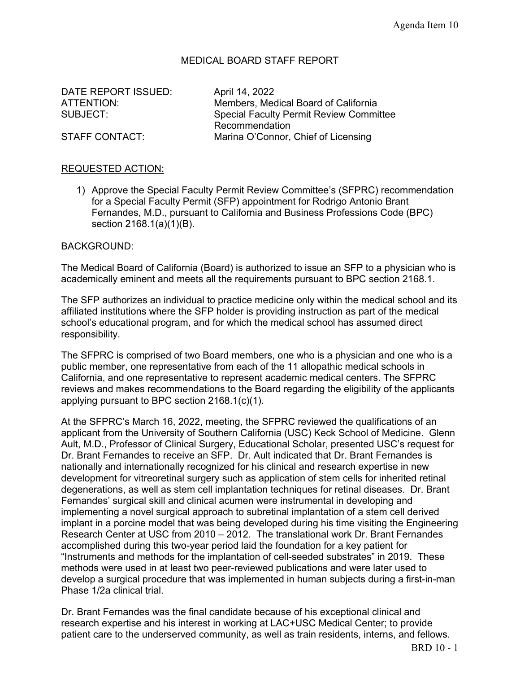# MEDICAL BOARD STAFF REPORT

DATE REPORT ISSUED: April 14, 2022

ATTENTION: Members, Medical Board of California SUBJECT: Special Faculty Permit Review Committee Recommendation STAFF CONTACT: Marina O'Connor, Chief of Licensing

## REQUESTED ACTION:

1) Approve the Special Faculty Permit Review Committee's (SFPRC) recommendation for a Special Faculty Permit (SFP) appointment for Rodrigo Antonio Brant Fernandes, M.D., pursuant to California and Business Professions Code (BPC) section 2168.1(a)(1)(B).

### BACKGROUND:

The Medical Board of California (Board) is authorized to issue an SFP to a physician who is academically eminent and meets all the requirements pursuant to BPC section 2168.1.

The SFP authorizes an individual to practice medicine only within the medical school and its affiliated institutions where the SFP holder is providing instruction as part of the medical school's educational program, and for which the medical school has assumed direct responsibility.

The SFPRC is comprised of two Board members, one who is a physician and one who is a public member, one representative from each of the 11 allopathic medical schools in California, and one representative to represent academic medical centers. The SFPRC reviews and makes recommendations to the Board regarding the eligibility of the applicants applying pursuant to BPC section 2168.1(c)(1).

At the SFPRC's March 16, 2022, meeting, the SFPRC reviewed the qualifications of an applicant from the University of Southern California (USC) Keck School of Medicine. Glenn Ault, M.D., Professor of Clinical Surgery, Educational Scholar, presented USC's request for Dr. Brant Fernandes to receive an SFP. Dr. Ault indicated that Dr. Brant Fernandes is nationally and internationally recognized for his clinical and research expertise in new development for vitreoretinal surgery such as application of stem cells for inherited retinal degenerations, as well as stem cell implantation techniques for retinal diseases. Dr. Brant Fernandes' surgical skill and clinical acumen were instrumental in developing and implementing a novel surgical approach to subretinal implantation of a stem cell derived implant in a porcine model that was being developed during his time visiting the Engineering Research Center at USC from 2010 – 2012. The translational work Dr. Brant Fernandes accomplished during this two-year period laid the foundation for a key patient for "Instruments and methods for the implantation of cell-seeded substrates" in 2019. These methods were used in at least two peer-reviewed publications and were later used to develop a surgical procedure that was implemented in human subjects during a first-in-man Phase 1/2a clinical trial.

Dr. Brant Fernandes was the final candidate because of his exceptional clinical and research expertise and his interest in working at LAC+USC Medical Center; to provide patient care to the underserved community, as well as train residents, interns, and fellows.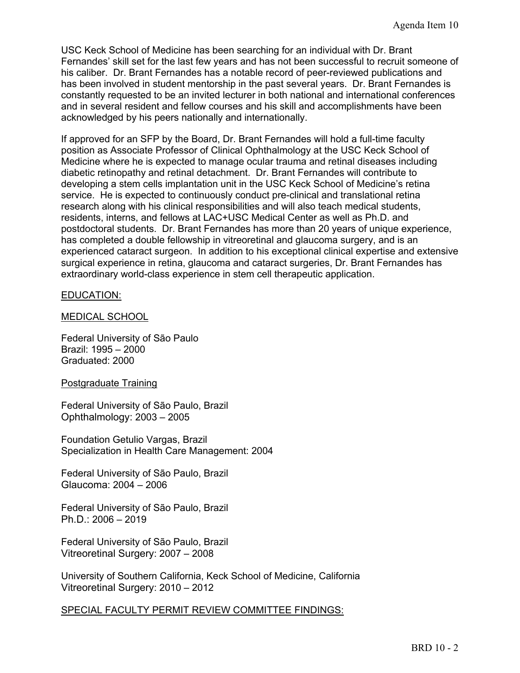USC Keck School of Medicine has been searching for an individual with Dr. Brant Fernandes' skill set for the last few years and has not been successful to recruit someone of his caliber. Dr. Brant Fernandes has a notable record of peer-reviewed publications and has been involved in student mentorship in the past several years. Dr. Brant Fernandes is constantly requested to be an invited lecturer in both national and international conferences and in several resident and fellow courses and his skill and accomplishments have been acknowledged by his peers nationally and internationally.

If approved for an SFP by the Board, Dr. Brant Fernandes will hold a full-time faculty position as Associate Professor of Clinical Ophthalmology at the USC Keck School of Medicine where he is expected to manage ocular trauma and retinal diseases including diabetic retinopathy and retinal detachment. Dr. Brant Fernandes will contribute to developing a stem cells implantation unit in the USC Keck School of Medicine's retina service. He is expected to continuously conduct pre-clinical and translational retina research along with his clinical responsibilities and will also teach medical students, residents, interns, and fellows at LAC+USC Medical Center as well as Ph.D. and postdoctoral students. Dr. Brant Fernandes has more than 20 years of unique experience, has completed a double fellowship in vitreoretinal and glaucoma surgery, and is an experienced cataract surgeon. In addition to his exceptional clinical expertise and extensive surgical experience in retina, glaucoma and cataract surgeries, Dr. Brant Fernandes has extraordinary world-class experience in stem cell therapeutic application.

### EDUCATION:

### MEDICAL SCHOOL

Federal University of São Paulo Brazil: 1995 – 2000 Graduated: 2000

#### Postgraduate Training

Federal University of São Paulo, Brazil Ophthalmology: 2003 – 2005

Foundation Getulio Vargas, Brazil Specialization in Health Care Management: 2004

Federal University of São Paulo, Brazil Glaucoma: 2004 – 2006

Federal University of São Paulo, Brazil Ph.D.: 2006 – 2019

Federal University of São Paulo, Brazil Vitreoretinal Surgery: 2007 – 2008

University of Southern California, Keck School of Medicine, California Vitreoretinal Surgery: 2010 – 2012

SPECIAL FACULTY PERMIT REVIEW COMMITTEE FINDINGS: